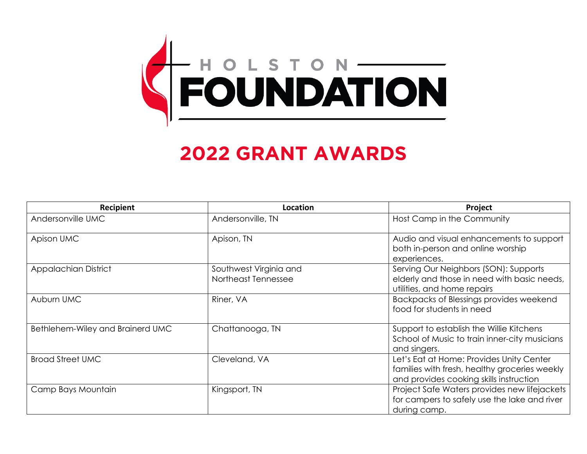

## **2022 GRANT AWARDS**

| Recipient                        | Location                                      | Project                                                                                                                              |
|----------------------------------|-----------------------------------------------|--------------------------------------------------------------------------------------------------------------------------------------|
| Andersonville UMC                | Andersonville, TN                             | Host Camp in the Community                                                                                                           |
| Apison UMC                       | Apison, TN                                    | Audio and visual enhancements to support<br>both in-person and online worship<br>experiences.                                        |
| <b>Appalachian District</b>      | Southwest Virginia and<br>Northeast Tennessee | Serving Our Neighbors (SON): Supports<br>elderly and those in need with basic needs,<br>utilities, and home repairs                  |
| Auburn UMC                       | Riner, VA                                     | Backpacks of Blessings provides weekend<br>food for students in need                                                                 |
| Bethlehem-Wiley and Brainerd UMC | Chattanooga, TN                               | Support to establish the Willie Kitchens<br>School of Music to train inner-city musicians<br>and singers.                            |
| <b>Broad Street UMC</b>          | Cleveland, VA                                 | Let's Eat at Home: Provides Unity Center<br>families with fresh, healthy groceries weekly<br>and provides cooking skills instruction |
| Camp Bays Mountain               | Kingsport, TN                                 | Project Safe Waters provides new lifejackets<br>for campers to safely use the lake and river<br>during camp.                         |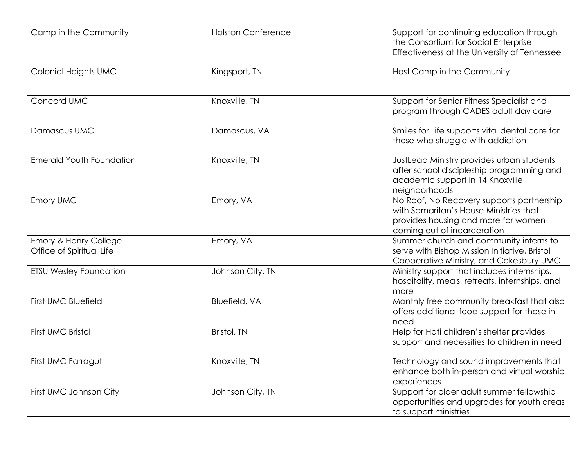| Camp in the Community                             | <b>Holston Conference</b> | Support for continuing education through<br>the Consortium for Social Enterprise<br>Effectiveness at the University of Tennessee                          |
|---------------------------------------------------|---------------------------|-----------------------------------------------------------------------------------------------------------------------------------------------------------|
| Colonial Heights UMC                              | Kingsport, TN             | Host Camp in the Community                                                                                                                                |
| Concord UMC                                       | Knoxville, TN             | Support for Senior Fitness Specialist and<br>program through CADES adult day care                                                                         |
| Damascus UMC                                      | Damascus, VA              | Smiles for Life supports vital dental care for<br>those who struggle with addiction                                                                       |
| <b>Emerald Youth Foundation</b>                   | Knoxville, TN             | JustLead Ministry provides urban students<br>after school discipleship programming and<br>academic support in 14 Knoxville<br>neighborhoods               |
| Emory UMC                                         | Emory, VA                 | No Roof, No Recovery supports partnership<br>with Samaritan's House Ministries that<br>provides housing and more for women<br>coming out of incarceration |
| Emory & Henry College<br>Office of Spiritual Life | Emory, VA                 | Summer church and community interns to<br>serve with Bishop Mission Initiative, Bristol<br>Cooperative Ministry, and Cokesbury UMC                        |
| <b>ETSU Wesley Foundation</b>                     | Johnson City, TN          | Ministry support that includes internships,<br>hospitality, meals, retreats, internships, and<br>more                                                     |
| <b>First UMC Bluefield</b>                        | <b>Bluefield, VA</b>      | Monthly free community breakfast that also<br>offers additional food support for those in<br>need                                                         |
| First UMC Bristol                                 | Bristol, TN               | Help for Hati children's shelter provides<br>support and necessities to children in need                                                                  |
| First UMC Farragut                                | Knoxville, TN             | Technology and sound improvements that<br>enhance both in-person and virtual worship<br>experiences                                                       |
| First UMC Johnson City                            | Johnson City, TN          | Support for older adult summer fellowship<br>opportunities and upgrades for youth areas<br>to support ministries                                          |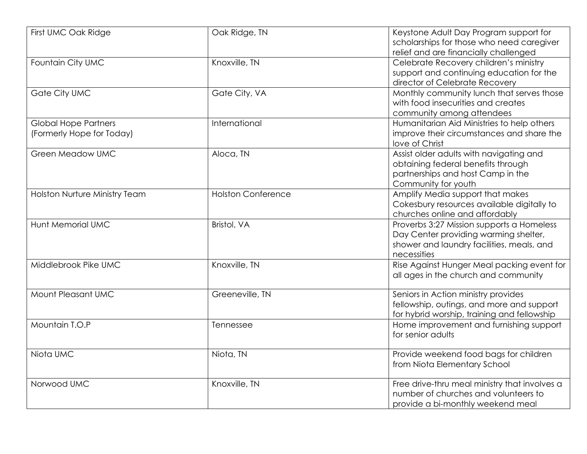| First UMC Oak Ridge           | Oak Ridge, TN             | Keystone Adult Day Program support for<br>scholarships for those who need caregiver |
|-------------------------------|---------------------------|-------------------------------------------------------------------------------------|
|                               |                           | relief and are financially challenged                                               |
| Fountain City UMC             | Knoxville, TN             | Celebrate Recovery children's ministry                                              |
|                               |                           | support and continuing education for the                                            |
|                               |                           | director of Celebrate Recovery                                                      |
| <b>Gate City UMC</b>          | Gate City, VA             | Monthly community lunch that serves those                                           |
|                               |                           | with food insecurities and creates                                                  |
|                               |                           | community among attendees                                                           |
| <b>Global Hope Partners</b>   | International             | Humanitarian Aid Ministries to help others                                          |
| (Formerly Hope for Today)     |                           | improve their circumstances and share the                                           |
|                               |                           | love of Christ                                                                      |
| <b>Green Meadow UMC</b>       | Aloca, TN                 | Assist older adults with navigating and<br>obtaining federal benefits through       |
|                               |                           | partnerships and host Camp in the                                                   |
|                               |                           | Community for youth                                                                 |
| Holston Nurture Ministry Team | <b>Holston Conference</b> | Amplify Media support that makes                                                    |
|                               |                           | Cokesbury resources available digitally to                                          |
|                               |                           | churches online and affordably                                                      |
| <b>Hunt Memorial UMC</b>      | Bristol, VA               | Proverbs 3:27 Mission supports a Homeless                                           |
|                               |                           | Day Center providing warming shelter,                                               |
|                               |                           | shower and laundry facilities, meals, and                                           |
|                               |                           | necessities                                                                         |
| Middlebrook Pike UMC          | Knoxville, TN             | Rise Against Hunger Meal packing event for                                          |
|                               |                           | all ages in the church and community                                                |
| Mount Pleasant UMC            | Greeneville, TN           | Seniors in Action ministry provides                                                 |
|                               |                           | fellowship, outings, and more and support                                           |
|                               |                           | for hybrid worship, training and fellowship                                         |
| Mountain T.O.P                | Tennessee                 | Home improvement and furnishing support                                             |
|                               |                           | for senior adults                                                                   |
|                               |                           |                                                                                     |
| Niota UMC                     | Niota, TN                 | Provide weekend food bags for children                                              |
|                               |                           | from Niota Elementary School                                                        |
| Norwood UMC                   | Knoxville, TN             | Free drive-thru meal ministry that involves a                                       |
|                               |                           | number of churches and volunteers to                                                |
|                               |                           | provide a bi-monthly weekend meal                                                   |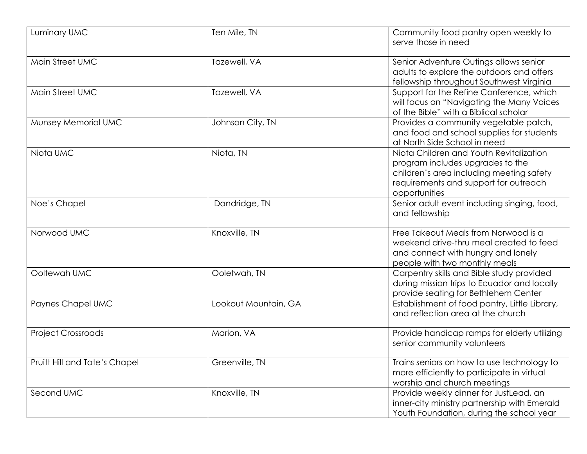| Luminary UMC                  | Ten Mile, TN         | Community food pantry open weekly to<br>serve those in need                                                                                                                       |
|-------------------------------|----------------------|-----------------------------------------------------------------------------------------------------------------------------------------------------------------------------------|
| Main Street UMC               | Tazewell, VA         | Senior Adventure Outings allows senior<br>adults to explore the outdoors and offers<br>fellowship throughout Southwest Virginia                                                   |
| Main Street UMC               | Tazewell, VA         | Support for the Refine Conference, which<br>will focus on "Navigating the Many Voices<br>of the Bible" with a Biblical scholar                                                    |
| Munsey Memorial UMC           | Johnson City, TN     | Provides a community vegetable patch,<br>and food and school supplies for students<br>at North Side School in need                                                                |
| Niota UMC                     | Niota, TN            | Niota Children and Youth Revitalization<br>program includes upgrades to the<br>children's area including meeting safety<br>requirements and support for outreach<br>opportunities |
| Noe's Chapel                  | Dandridge, TN        | Senior adult event including singing, food,<br>and fellowship                                                                                                                     |
| Norwood UMC                   | Knoxville, TN        | Free Takeout Meals from Norwood is a<br>weekend drive-thru meal created to feed<br>and connect with hungry and lonely<br>people with two monthly meals                            |
| Ooltewah UMC                  | Ooletwah, TN         | Carpentry skills and Bible study provided<br>during mission trips to Ecuador and locally<br>provide seating for Bethlehem Center                                                  |
| Paynes Chapel UMC             | Lookout Mountain, GA | Establishment of food pantry, Little Library,<br>and reflection area at the church                                                                                                |
| <b>Project Crossroads</b>     | Marion, VA           | Provide handicap ramps for elderly utilizing<br>senior community volunteers                                                                                                       |
| Pruitt Hill and Tate's Chapel | Greenville, TN       | Trains seniors on how to use technology to<br>more efficiently to participate in virtual<br>worship and church meetings                                                           |
| Second UMC                    | Knoxville, TN        | Provide weekly dinner for JustLead, an<br>inner-city ministry partnership with Emerald<br>Youth Foundation, during the school year                                                |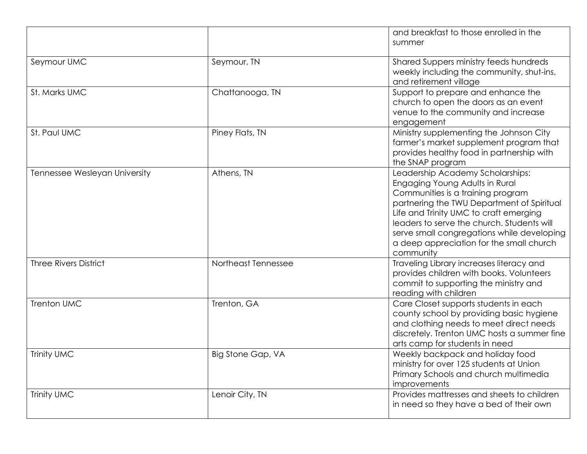|                               |                     | and breakfast to those enrolled in the<br>summer                                                                                                                                                                                                                                                                                                     |
|-------------------------------|---------------------|------------------------------------------------------------------------------------------------------------------------------------------------------------------------------------------------------------------------------------------------------------------------------------------------------------------------------------------------------|
| Seymour UMC                   | Seymour, TN         | Shared Suppers ministry feeds hundreds<br>weekly including the community, shut-ins,<br>and retirement village                                                                                                                                                                                                                                        |
| St. Marks UMC                 | Chattanooga, TN     | Support to prepare and enhance the<br>church to open the doors as an event<br>venue to the community and increase<br>engagement                                                                                                                                                                                                                      |
| St. Paul UMC                  | Piney Flats, TN     | Ministry supplementing the Johnson City<br>farmer's market supplement program that<br>provides healthy food in partnership with<br>the SNAP program                                                                                                                                                                                                  |
| Tennessee Wesleyan University | Athens, TN          | Leadership Academy Scholarships:<br>Engaging Young Adults in Rural<br>Communities is a training program<br>partnering the TWU Department of Spiritual<br>Life and Trinity UMC to craft emerging<br>leaders to serve the church. Students will<br>serve small congregations while developing<br>a deep appreciation for the small church<br>community |
| <b>Three Rivers District</b>  | Northeast Tennessee | Traveling Library increases literacy and<br>provides children with books. Volunteers<br>commit to supporting the ministry and<br>reading with children                                                                                                                                                                                               |
| <b>Trenton UMC</b>            | Trenton, GA         | Care Closet supports students in each<br>county school by providing basic hygiene<br>and clothing needs to meet direct needs<br>discretely. Trenton UMC hosts a summer fine<br>arts camp for students in need                                                                                                                                        |
| <b>Trinity UMC</b>            | Big Stone Gap, VA   | Weekly backpack and holiday food<br>ministry for over 125 students at Union<br>Primary Schools and church multimedia<br>improvements                                                                                                                                                                                                                 |
| Trinity UMC                   | Lenoir City, TN     | Provides mattresses and sheets to children<br>in need so they have a bed of their own                                                                                                                                                                                                                                                                |